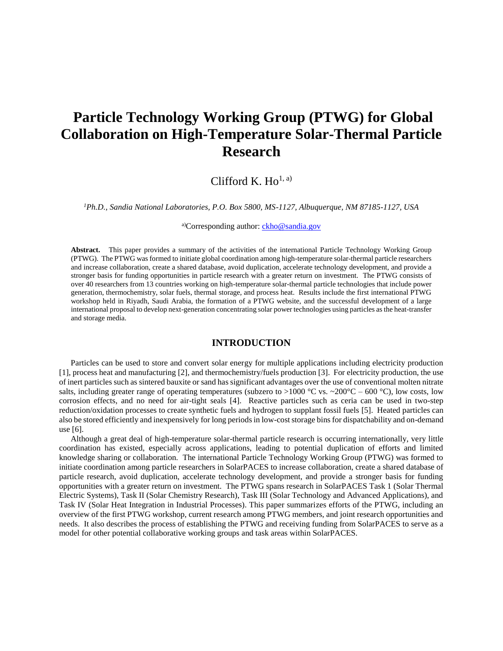# **Particle Technology Working Group (PTWG) for Global Collaboration on High-Temperature Solar-Thermal Particle Research**

## Clifford K.  $Ho<sup>1, a)</sup>$ </sup>

*<sup>1</sup>Ph.D., Sandia National Laboratories, P.O. Box 5800, MS-1127, Albuquerque, NM 87185-1127, USA*

a)Corresponding author: [ckho@sandia.gov](mailto:ckho@sandia.gov)

**Abstract.** This paper provides a summary of the activities of the international Particle Technology Working Group (PTWG). The PTWG was formed to initiate global coordination among high-temperature solar-thermal particle researchers and increase collaboration, create a shared database, avoid duplication, accelerate technology development, and provide a stronger basis for funding opportunities in particle research with a greater return on investment. The PTWG consists of over 40 researchers from 13 countries working on high-temperature solar-thermal particle technologies that include power generation, thermochemistry, solar fuels, thermal storage, and process heat. Results include the first international PTWG workshop held in Riyadh, Saudi Arabia, the formation of a PTWG website, and the successful development of a large international proposal to develop next-generation concentrating solar power technologies using particles as the heat-transfer and storage media.

## **INTRODUCTION**

Particles can be used to store and convert solar energy for multiple applications including electricity production [\[1\]](#page-7-0), process heat and manufacturing [\[2\]](#page-7-1), and thermochemistry/fuels production [\[3\]](#page-7-2). For electricity production, the use of inert particles such as sintered bauxite or sand has significant advantages over the use of conventional molten nitrate salts, including greater range of operating temperatures (subzero to >1000 °C vs. ~200 °C – 600 °C), low costs, low corrosion effects, and no need for air-tight seals [\[4\]](#page-7-3). Reactive particles such as ceria can be used in two-step reduction/oxidation processes to create synthetic fuels and hydrogen to supplant fossil fuels [\[5\]](#page-7-4). Heated particles can also be stored efficiently and inexpensively for long periods in low-cost storage bins for dispatchability and on-demand use [\[6\]](#page-7-5).

Although a great deal of high-temperature solar-thermal particle research is occurring internationally, very little coordination has existed, especially across applications, leading to potential duplication of efforts and limited knowledge sharing or collaboration. The international Particle Technology Working Group (PTWG) was formed to initiate coordination among particle researchers in SolarPACES to increase collaboration, create a shared database of particle research, avoid duplication, accelerate technology development, and provide a stronger basis for funding opportunities with a greater return on investment. The PTWG spans research in SolarPACES Task 1 (Solar Thermal Electric Systems), Task II (Solar Chemistry Research), Task III (Solar Technology and Advanced Applications), and Task IV (Solar Heat Integration in Industrial Processes). This paper summarizes efforts of the PTWG, including an overview of the first PTWG workshop, current research among PTWG members, and joint research opportunities and needs. It also describes the process of establishing the PTWG and receiving funding from SolarPACES to serve as a model for other potential collaborative working groups and task areas within SolarPACES.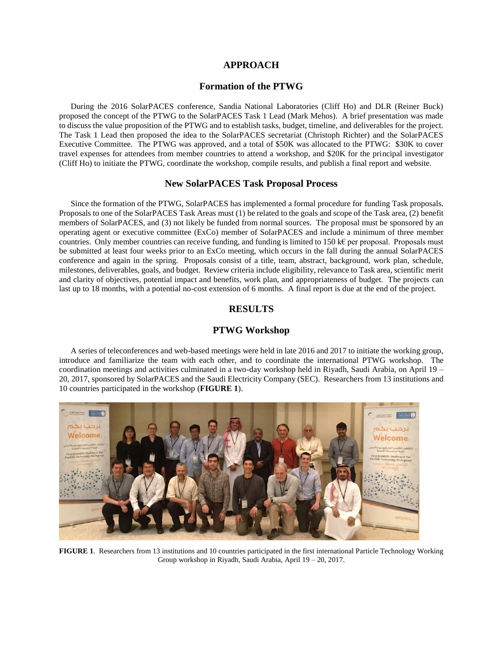## **APPROACH**

## **Formation of the PTWG**

During the 2016 SolarPACES conference, Sandia National Laboratories (Cliff Ho) and DLR (Reiner Buck) proposed the concept of the PTWG to the SolarPACES Task 1 Lead (Mark Mehos). A brief presentation was made to discuss the value proposition of the PTWG and to establish tasks, budget, timeline, and deliverables for the project. The Task 1 Lead then proposed the idea to the SolarPACES secretariat (Christoph Richter) and the SolarPACES Executive Committee. The PTWG was approved, and a total of \$50K was allocated to the PTWG: \$30K to cover travel expenses for attendees from member countries to attend a workshop, and \$20K for the principal investigator (Cliff Ho) to initiate the PTWG, coordinate the workshop, compile results, and publish a final report and website.

## **New SolarPACES Task Proposal Process**

Since the formation of the PTWG, SolarPACES has implemented a formal procedure for funding Task proposals. Proposals to one of the SolarPACES Task Areas must (1) be related to the goals and scope of the Task area, (2) benefit members of SolarPACES, and (3) not likely be funded from normal sources. The proposal must be sponsored by an operating agent or executive committee (ExCo) member of SolarPACES and include a minimum of three member countries. Only member countries can receive funding, and funding is limited to 150 k€ per proposal. Proposals must be submitted at least four weeks prior to an ExCo meeting, which occurs in the fall during the annual SolarPACES conference and again in the spring. Proposals consist of a title, team, abstract, background, work plan, schedule, milestones, deliverables, goals, and budget. Review criteria include eligibility, relevance to Task area, scientific merit and clarity of objectives, potential impact and benefits, work plan, and appropriateness of budget. The projects can last up to 18 months, with a potential no-cost extension of 6 months. A final report is due at the end of the project.

## **RESULTS**

## **PTWG Workshop**

A series of teleconferences and web-based meetings were held in late 2016 and 2017 to initiate the working group, introduce and familiarize the team with each other, and to coordinate the international PTWG workshop. The coordination meetings and activities culminated in a two-day workshop held in Riyadh, Saudi Arabia, on April 19 – 20, 2017, sponsored by SolarPACES and the Saudi Electricity Company (SEC). Researchers from 13 institutions and 10 countries participated in the workshop (**FIGURE 1**).



**FIGURE 1**. Researchers from 13 institutions and 10 countries participated in the first international Particle Technology Working Group workshop in Riyadh, Saudi Arabia, April 19 – 20, 2017.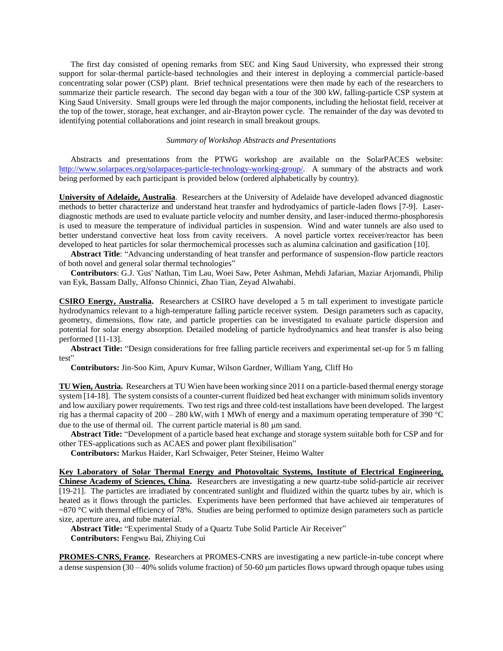The first day consisted of opening remarks from SEC and King Saud University, who expressed their strong support for solar-thermal particle-based technologies and their interest in deploying a commercial particle-based concentrating solar power (CSP) plant. Brief technical presentations were then made by each of the researchers to summarize their particle research. The second day began with a tour of the  $300 \text{ kW}_t$  falling-particle CSP system at King Saud University. Small groups were led through the major components, including the heliostat field, receiver at the top of the tower, storage, heat exchanger, and air-Brayton power cycle. The remainder of the day was devoted to identifying potential collaborations and joint research in small breakout groups.

#### *Summary of Workshop Abstracts and Presentations*

Abstracts and presentations from the PTWG workshop are available on the SolarPACES website: [http://www.solarpaces.org/solarpaces-particle-technology-working-group/.](http://www.solarpaces.org/solarpaces-particle-technology-working-group/) A summary of the abstracts and work being performed by each participant is provided below (ordered alphabetically by country).

**University of Adelaide, Australia**. Researchers at the University of Adelaide have developed advanced diagnostic methods to better characterize and understand heat transfer and hydrodyamics of particle-laden flows [\[7-9\]](#page-7-6). Laserdiagnostic methods are used to evaluate particle velocity and number density, and laser-induced thermo-phosphoresis is used to measure the temperature of individual particles in suspension. Wind and water tunnels are also used to better understand convective heat loss from cavity receivers. A novel particle vortex receiver/reactor has been developed to heat particles for solar thermochemical processes such as alumina calcination and gasification [\[10\]](#page-7-7).

**Abstract Title**: "Advancing understanding of heat transfer and performance of suspension-flow particle reactors of both novel and general solar thermal technologies"

**Contributors**: G.J. 'Gus' Nathan, Tim Lau, Woei Saw, Peter Ashman, Mehdi Jafarian, Maziar Arjomandi, Philip van Eyk, Bassam Dally, Alfonso Chinnici, Zhao Tian, Zeyad Alwahabi.

**CSIRO Energy, Australia.** Researchers at CSIRO have developed a 5 m tall experiment to investigate particle hydrodynamics relevant to a high-temperature falling particle receiver system. Design parameters such as capacity, geometry, dimensions, flow rate, and particle properties can be investigated to evaluate particle dispersion and potential for solar energy absorption. Detailed modeling of particle hydrodynamics and heat transfer is also being performed [\[11-13\]](#page-7-8).

**Abstract Title:** "Design considerations for free falling particle receivers and experimental set-up for 5 m falling test"

**Contributors:** Jin-Soo Kim, Apurv Kumar, Wilson Gardner, William Yang, Cliff Ho

**TU Wien, Austria.** Researchers at TU Wien have been working since 2011 on a particle-based thermal energy storage system [\[14-18\]](#page-7-9). The system consists of a counter-current fluidized bed heat exchanger with minimum solids inventory and low auxiliary power requirements. Two test rigs and three cold-test installations have been developed. The largest rig has a thermal capacity of  $200 - 280$  kW<sub>t</sub> with 1 MWh of energy and a maximum operating temperature of 390 °C due to the use of thermal oil. The current particle material is  $80 \mu m$  sand.

**Abstract Title:** "Development of a particle based heat exchange and storage system suitable both for CSP and for other TES-applications such as ACAES and power plant flexibilisation"

**Contributors:** Markus Haider, Karl Schwaiger, Peter Steiner, Heimo Walter

**Key Laboratory of Solar Thermal Energy and Photovoltaic Systems, Institute of Electrical Engineering, Chinese Academy of Sciences, China.** Researchers are investigating a new quartz-tube solid-particle air receiver [\[19-21\]](#page-8-0). The particles are irradiated by concentrated sunlight and fluidized within the quartz tubes by air, which is heated as it flows through the particles. Experiments have been performed that have achieved air temperatures of  $\sim$ 870 °C with thermal efficiency of 78%. Studies are being performed to optimize design parameters such as particle size, aperture area, and tube material.

**Abstract Title:** "Experimental Study of a Quartz Tube Solid Particle Air Receiver" **Contributors:** Fengwu Bai, Zhiying Cui

**PROMES-CNRS, France.** Researchers at PROMES-CNRS are investigating a new particle-in-tube concept where a dense suspension  $(30 - 40\%$  solids volume fraction) of 50-60  $\mu$ m particles flows upward through opaque tubes using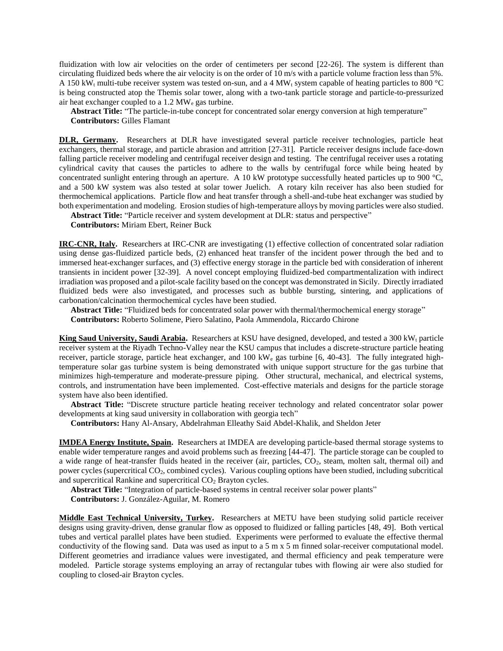fluidization with low air velocities on the order of centimeters per second [\[22-26\]](#page-8-1). The system is different than circulating fluidized beds where the air velocity is on the order of 10 m/s with a particle volume fraction less than 5%. A 150 kW<sub>t</sub> multi-tube receiver system was tested on-sun, and a 4 MW<sub>t</sub> system capable of heating particles to 800 °C is being constructed atop the Themis solar tower, along with a two-tank particle storage and particle-to-pressurized air heat exchanger coupled to a 1.2 MW<sup>e</sup> gas turbine.

**Abstract Title:** "The particle-in-tube concept for concentrated solar energy conversion at high temperature" **Contributors:** Gilles Flamant

**DLR, Germany.** Researchers at DLR have investigated several particle receiver technologies, particle heat exchangers, thermal storage, and particle abrasion and attrition [\[27-31\]](#page-8-2). Particle receiver designs include face-down falling particle receiver modeling and centrifugal receiver design and testing. The centrifugal receiver uses a rotating cylindrical cavity that causes the particles to adhere to the walls by centrifugal force while being heated by concentrated sunlight entering through an aperture. A 10 kW prototype successfully heated particles up to 900  $^{\circ}$ C, and a 500 kW system was also tested at solar tower Juelich. A rotary kiln receiver has also been studied for thermochemical applications. Particle flow and heat transfer through a shell-and-tube heat exchanger was studied by both experimentation and modeling. Erosion studies of high-temperature alloys by moving particles were also studied.

**Abstract Title:** "Particle receiver and system development at DLR: status and perspective"

**Contributors:** Miriam Ebert, Reiner Buck

**IRC-CNR, Italy.** Researchers at IRC-CNR are investigating (1) effective collection of concentrated solar radiation using dense gas-fluidized particle beds, (2) enhanced heat transfer of the incident power through the bed and to immersed heat-exchanger surfaces, and (3) effective energy storage in the particle bed with consideration of inherent transients in incident power [\[32-39\]](#page-8-3). A novel concept employing fluidized-bed compartmentalization with indirect irradiation was proposed and a pilot-scale facility based on the concept was demonstrated in Sicily. Directly irradiated fluidized beds were also investigated, and processes such as bubble bursting, sintering, and applications of carbonation/calcination thermochemical cycles have been studied.

**Abstract Title:** "Fluidized beds for concentrated solar power with thermal/thermochemical energy storage" **Contributors:** Roberto Solimene, Piero Salatino, Paola Ammendola, Riccardo Chirone

**King Saud University, Saudi Arabia.** Researchers at KSU have designed, developed, and tested a 300 kW<sub>t</sub> particle receiver system at the Riyadh Techno-Valley near the KSU campus that includes a discrete-structure particle heating receiver, particle storage, particle heat exchanger, and 100 kW<sub>e</sub> gas turbine [\[6,](#page-7-5) [40-43\]](#page-9-0). The fully integrated hightemperature solar gas turbine system is being demonstrated with unique support structure for the gas turbine that minimizes high-temperature and moderate-pressure piping. Other structural, mechanical, and electrical systems, controls, and instrumentation have been implemented. Cost-effective materials and designs for the particle storage system have also been identified.

**Abstract Title:** "Discrete structure particle heating receiver technology and related concentrator solar power developments at king saud university in collaboration with georgia tech"

**Contributors:** Hany Al-Ansary, Abdelrahman Elleathy Said Abdel-Khalik, and Sheldon Jeter

**IMDEA Energy Institute, Spain.** Researchers at IMDEA are developing particle-based thermal storage systems to enable wider temperature ranges and avoid problems such as freezing [\[44-47\]](#page-9-1). The particle storage can be coupled to a wide range of heat-transfer fluids heated in the receiver (air, particles, CO2, steam, molten salt, thermal oil) and power cycles (supercritical CO2, combined cycles). Various coupling options have been studied, including subcritical and supercritical Rankine and supercritical  $CO<sub>2</sub>$  Brayton cycles.

**Abstract Title:** "Integration of particle-based systems in central receiver solar power plants"

**Contributors:** J. González-Aguilar, M. Romero

**Middle East Technical University, Turkey.** Researchers at METU have been studying solid particle receiver designs using gravity-driven, dense granular flow as opposed to fluidized or falling particles [\[48,](#page-9-2) [49\]](#page-9-3). Both vertical tubes and vertical parallel plates have been studied. Experiments were performed to evaluate the effective thermal conductivity of the flowing sand. Data was used as input to a 5 m x 5 m finned solar-receiver computational model. Different geometries and irradiance values were investigated, and thermal efficiency and peak temperature were modeled. Particle storage systems employing an array of rectangular tubes with flowing air were also studied for coupling to closed-air Brayton cycles.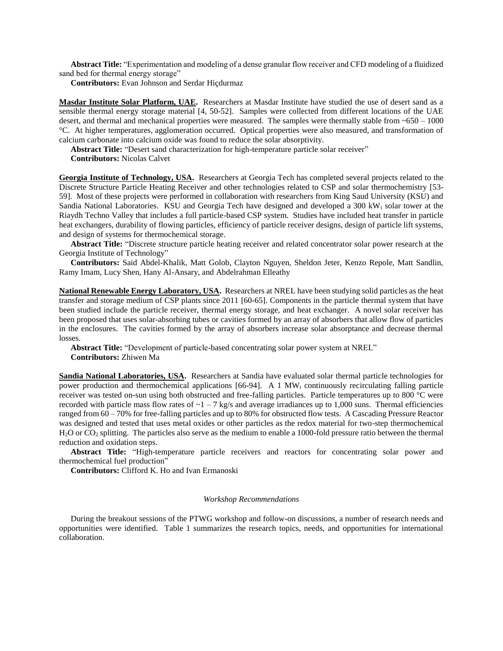**Abstract Title:** "Experimentation and modeling of a dense granular flow receiver and CFD modeling of a fluidized sand bed for thermal energy storage"

**Contributors:** Evan Johnson and Serdar Hiçdurmaz

**Masdar Institute Solar Platform, UAE.** Researchers at Masdar Institute have studied the use of desert sand as a sensible thermal energy storage material [\[4,](#page-7-3) [50-52\]](#page-9-4). Samples were collected from different locations of the UAE desert, and thermal and mechanical properties were measured. The samples were thermally stable from ~650 – 1000 °C. At higher temperatures, agglomeration occurred. Optical properties were also measured, and transformation of calcium carbonate into calcium oxide was found to reduce the solar absorptivity.

**Abstract Title:** "Desert sand characterization for high-temperature particle solar receiver"

**Contributors:** Nicolas Calvet

**Georgia Institute of Technology, USA.** Researchers at Georgia Tech has completed several projects related to the Discrete Structure Particle Heating Receiver and other technologies related to CSP and solar thermochemistry [\[53-](#page-9-5) [59\]](#page-9-5). Most of these projects were performed in collaboration with researchers from King Saud University (KSU) and Sandia National Laboratories. KSU and Georgia Tech have designed and developed a 300  $kW_t$  solar tower at the Riaydh Techno Valley that includes a full particle-based CSP system. Studies have included heat transfer in particle heat exchangers, durability of flowing particles, efficiency of particle receiver designs, design of particle lift systems, and design of systems for thermochemical storage.

**Abstract Title:** "Discrete structure particle heating receiver and related concentrator solar power research at the Georgia Institute of Technology"

**Contributors:** Said Abdel-Khalik, Matt Golob, Clayton Nguyen, Sheldon Jeter, Kenzo Repole, Matt Sandlin, Ramy Imam, Lucy Shen, Hany Al-Ansary, and Abdelrahman Elleathy

**National Renewable Energy Laboratory, USA.** Researchers at NREL have been studying solid particles as the heat transfer and storage medium of CSP plants since 2011 [\[60-65\]](#page-10-0). Components in the particle thermal system that have been studied include the particle receiver, thermal energy storage, and heat exchanger. A novel solar receiver has been proposed that uses solar-absorbing tubes or cavities formed by an array of absorbers that allow flow of particles in the enclosures. The cavities formed by the array of absorbers increase solar absorptance and decrease thermal losses.

**Abstract Title:** "Development of particle-based concentrating solar power system at NREL" **Contributors:** Zhiwen Ma

**Sandia National Laboratories, USA.** Researchers at Sandia have evaluated solar thermal particle technologies for power production and thermochemical applications [\[66-94\]](#page-10-1). A 1 MW<sub>t</sub> continuously recirculating falling particle receiver was tested on-sun using both obstructed and free-falling particles. Particle temperatures up to 800 °C were recorded with particle mass flow rates of  $\sim 1 - 7$  kg/s and average irradiances up to 1,000 suns. Thermal efficiencies ranged from 60 – 70% for free-falling particles and up to 80% for obstructed flow tests. A Cascading Pressure Reactor was designed and tested that uses metal oxides or other particles as the redox material for two-step thermochemical  $H<sub>2</sub>O$  or  $CO<sub>2</sub>$  splitting. The particles also serve as the medium to enable a 1000-fold pressure ratio between the thermal reduction and oxidation steps.

**Abstract Title:** "High-temperature particle receivers and reactors for concentrating solar power and thermochemical fuel production"

**Contributors:** Clifford K. Ho and Ivan Ermanoski

#### *Workshop Recommendations*

During the breakout sessions of the PTWG workshop and follow-on discussions, a number of research needs and opportunities were identified. [Table 1](#page-5-0) summarizes the research topics, needs, and opportunities for international collaboration.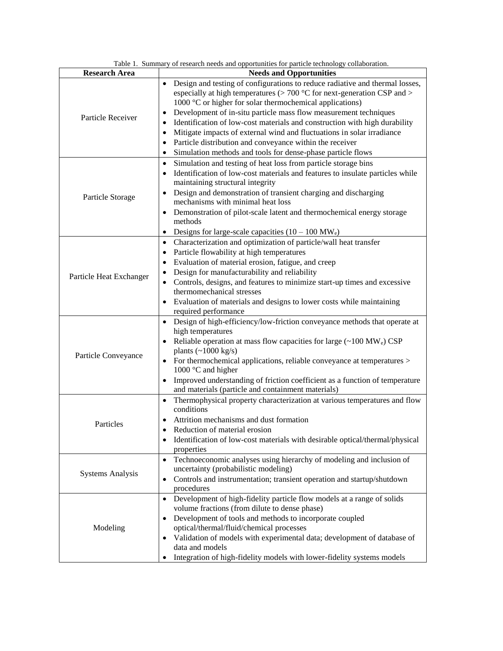<span id="page-5-0"></span>

|                         | Table 1. Summary of research needs and opportunities for particle technology collaboration.                                                                                                                                                                                                                                                                                                                                                                                                                                                                                                               |
|-------------------------|-----------------------------------------------------------------------------------------------------------------------------------------------------------------------------------------------------------------------------------------------------------------------------------------------------------------------------------------------------------------------------------------------------------------------------------------------------------------------------------------------------------------------------------------------------------------------------------------------------------|
| <b>Research Area</b>    | <b>Needs and Opportunities</b>                                                                                                                                                                                                                                                                                                                                                                                                                                                                                                                                                                            |
| Particle Receiver       | Design and testing of configurations to reduce radiative and thermal losses,<br>especially at high temperatures ( $> 700$ °C for next-generation CSP and $>$<br>1000 °C or higher for solar thermochemical applications)<br>Development of in-situ particle mass flow measurement techniques<br>Identification of low-cost materials and construction with high durability<br>Mitigate impacts of external wind and fluctuations in solar irradiance<br>$\bullet$<br>Particle distribution and conveyance within the receiver<br>$\bullet$<br>Simulation methods and tools for dense-phase particle flows |
| Particle Storage        | Simulation and testing of heat loss from particle storage bins<br>$\bullet$<br>Identification of low-cost materials and features to insulate particles while<br>$\bullet$<br>maintaining structural integrity<br>Design and demonstration of transient charging and discharging<br>$\bullet$<br>mechanisms with minimal heat loss<br>Demonstration of pilot-scale latent and thermochemical energy storage<br>methods<br>Designs for large-scale capacities $(10 - 100 \text{ MW}_e)$<br>$\bullet$                                                                                                        |
| Particle Heat Exchanger | Characterization and optimization of particle/wall heat transfer<br>$\bullet$<br>Particle flowability at high temperatures<br>٠<br>Evaluation of material erosion, fatigue, and creep<br>٠<br>Design for manufacturability and reliability<br>$\bullet$<br>Controls, designs, and features to minimize start-up times and excessive<br>$\bullet$<br>thermomechanical stresses<br>Evaluation of materials and designs to lower costs while maintaining<br>$\bullet$<br>required performance                                                                                                                |
| Particle Conveyance     | Design of high-efficiency/low-friction conveyance methods that operate at<br>$\bullet$<br>high temperatures<br>Reliable operation at mass flow capacities for large (~100 MW <sub>e</sub> ) CSP<br>$\bullet$<br>plants $(\sim 1000 \text{ kg/s})$<br>For thermochemical applications, reliable conveyance at temperatures ><br>$\bullet$<br>1000 $\degree$ C and higher<br>Improved understanding of friction coefficient as a function of temperature<br>$\bullet$<br>and materials (particle and containment materials)                                                                                 |
| Particles               | Thermophysical property characterization at various temperatures and flow<br>$\bullet$<br>conditions<br>Attrition mechanisms and dust formation<br>Reduction of material erosion<br>٠<br>Identification of low-cost materials with desirable optical/thermal/physical<br>properties                                                                                                                                                                                                                                                                                                                       |
| <b>Systems Analysis</b> | Technoeconomic analyses using hierarchy of modeling and inclusion of<br>$\bullet$<br>uncertainty (probabilistic modeling)<br>Controls and instrumentation; transient operation and startup/shutdown<br>$\bullet$<br>procedures                                                                                                                                                                                                                                                                                                                                                                            |
| Modeling                | Development of high-fidelity particle flow models at a range of solids<br>$\bullet$<br>volume fractions (from dilute to dense phase)<br>Development of tools and methods to incorporate coupled<br>$\bullet$<br>optical/thermal/fluid/chemical processes<br>Validation of models with experimental data; development of database of<br>$\bullet$<br>data and models<br>Integration of high-fidelity models with lower-fidelity systems models                                                                                                                                                             |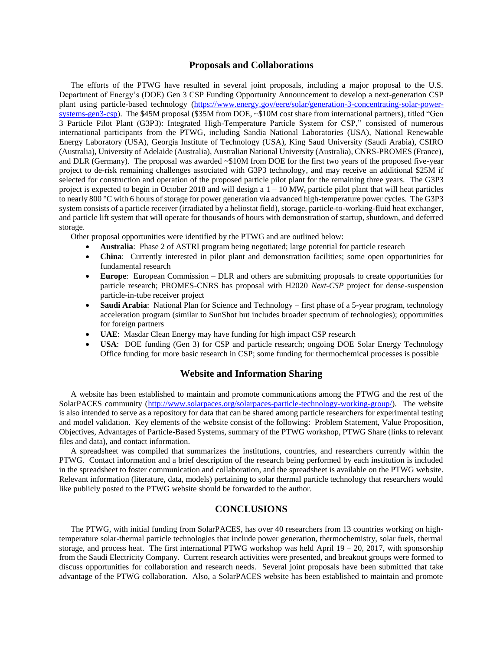#### **Proposals and Collaborations**

The efforts of the PTWG have resulted in several joint proposals, including a major proposal to the U.S. Department of Energy's (DOE) Gen 3 CSP Funding Opportunity Announcement to develop a next-generation CSP plant using particle-based technology [\(https://www.energy.gov/eere/solar/generation-3-concentrating-solar-power](https://www.energy.gov/eere/solar/generation-3-concentrating-solar-power-systems-gen3-csp)[systems-gen3-csp\)](https://www.energy.gov/eere/solar/generation-3-concentrating-solar-power-systems-gen3-csp). The \$45M proposal (\$35M from DOE, ~\$10M cost share from international partners), titled "Gen 3 Particle Pilot Plant (G3P3): Integrated High-Temperature Particle System for CSP," consisted of numerous international participants from the PTWG, including Sandia National Laboratories (USA), National Renewable Energy Laboratory (USA), Georgia Institute of Technology (USA), King Saud University (Saudi Arabia), CSIRO (Australia), University of Adelaide (Australia), Australian National University (Australia), CNRS-PROMES (France), and DLR (Germany). The proposal was awarded ~\$10M from DOE for the first two years of the proposed five-year project to de-risk remaining challenges associated with G3P3 technology, and may receive an additional \$25M if selected for construction and operation of the proposed particle pilot plant for the remaining three years. The G3P3 project is expected to begin in October 2018 and will design a  $1 - 10 MW_t$  particle pilot plant that will heat particles to nearly 800 °C with 6 hours of storage for power generation via advanced high-temperature power cycles. The G3P3 system consists of a particle receiver (irradiated by a heliostat field), storage, particle-to-working-fluid heat exchanger, and particle lift system that will operate for thousands of hours with demonstration of startup, shutdown, and deferred storage.

Other proposal opportunities were identified by the PTWG and are outlined below:

- **Australia**: Phase 2 of ASTRI program being negotiated; large potential for particle research
- **China**: Currently interested in pilot plant and demonstration facilities; some open opportunities for fundamental research
- **Europe**: European Commission DLR and others are submitting proposals to create opportunities for particle research; PROMES-CNRS has proposal with H2020 *Next-CSP* project for dense-suspension particle-in-tube receiver project
- **Saudi Arabia**: National Plan for Science and Technology first phase of a 5-year program, technology acceleration program (similar to SunShot but includes broader spectrum of technologies); opportunities for foreign partners
- **UAE**: Masdar Clean Energy may have funding for high impact CSP research
- **USA**: DOE funding (Gen 3) for CSP and particle research; ongoing DOE Solar Energy Technology Office funding for more basic research in CSP; some funding for thermochemical processes is possible

## **Website and Information Sharing**

A website has been established to maintain and promote communications among the PTWG and the rest of the SolarPACES community [\(http://www.solarpaces.org/solarpaces-particle-technology-working-group/\)](http://www.solarpaces.org/solarpaces-particle-technology-working-group/). The website is also intended to serve as a repository for data that can be shared among particle researchers for experimental testing and model validation. Key elements of the website consist of the following: Problem Statement, Value Proposition, Objectives, Advantages of Particle-Based Systems, summary of the PTWG workshop, PTWG Share (links to relevant files and data), and contact information.

A spreadsheet was compiled that summarizes the institutions, countries, and researchers currently within the PTWG. Contact information and a brief description of the research being performed by each institution is included in the spreadsheet to foster communication and collaboration, and the spreadsheet is available on the PTWG website. Relevant information (literature, data, models) pertaining to solar thermal particle technology that researchers would like publicly posted to the PTWG website should be forwarded to the author.

## **CONCLUSIONS**

The PTWG, with initial funding from SolarPACES, has over 40 researchers from 13 countries working on hightemperature solar-thermal particle technologies that include power generation, thermochemistry, solar fuels, thermal storage, and process heat. The first international PTWG workshop was held April  $19 - 20$ ,  $2017$ , with sponsorship from the Saudi Electricity Company. Current research activities were presented, and breakout groups were formed to discuss opportunities for collaboration and research needs. Several joint proposals have been submitted that take advantage of the PTWG collaboration. Also, a SolarPACES website has been established to maintain and promote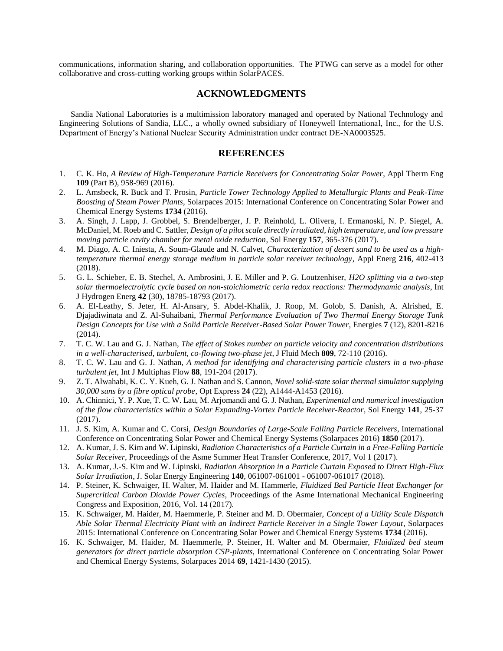communications, information sharing, and collaboration opportunities. The PTWG can serve as a model for other collaborative and cross-cutting working groups within SolarPACES.

## **ACKNOWLEDGMENTS**

Sandia National Laboratories is a multimission laboratory managed and operated by National Technology and Engineering Solutions of Sandia, LLC., a wholly owned subsidiary of Honeywell International, Inc., for the U.S. Department of Energy's National Nuclear Security Administration under contract DE-NA0003525.

## **REFERENCES**

- <span id="page-7-0"></span>1. C. K. Ho, *A Review of High-Temperature Particle Receivers for Concentrating Solar Power*, Appl Therm Eng **109** (Part B), 958-969 (2016).
- <span id="page-7-1"></span>2. L. Amsbeck, R. Buck and T. Prosin, *Particle Tower Technology Applied to Metallurgic Plants and Peak-Time Boosting of Steam Power Plants*, Solarpaces 2015: International Conference on Concentrating Solar Power and Chemical Energy Systems **1734** (2016).
- <span id="page-7-2"></span>3. A. Singh, J. Lapp, J. Grobbel, S. Brendelberger, J. P. Reinhold, L. Olivera, I. Ermanoski, N. P. Siegel, A. McDaniel, M. Roeb and C. Sattler, *Design of a pilot scale directly irradiated, high temperature, and low pressure moving particle cavity chamber for metal oxide reduction*, Sol Energy **157**, 365-376 (2017).
- <span id="page-7-3"></span>4. M. Diago, A. C. Iniesta, A. Soum-Glaude and N. Calvet, *Characterization of desert sand to be used as a hightemperature thermal energy storage medium in particle solar receiver technology*, Appl Energ **216**, 402-413 (2018).
- <span id="page-7-4"></span>5. G. L. Schieber, E. B. Stechel, A. Ambrosini, J. E. Miller and P. G. Loutzenhiser, *H2O splitting via a two-step solar thermoelectrolytic cycle based on non-stoichiometric ceria redox reactions: Thermodynamic analysis*, Int J Hydrogen Energ **42** (30), 18785-18793 (2017).
- <span id="page-7-5"></span>6. A. El-Leathy, S. Jeter, H. Al-Ansary, S. Abdel-Khalik, J. Roop, M. Golob, S. Danish, A. Alrished, E. Djajadiwinata and Z. Al-Suhaibani, *Thermal Performance Evaluation of Two Thermal Energy Storage Tank Design Concepts for Use with a Solid Particle Receiver-Based Solar Power Tower*, Energies **7** (12), 8201-8216 (2014).
- <span id="page-7-6"></span>7. T. C. W. Lau and G. J. Nathan, *The effect of Stokes number on particle velocity and concentration distributions in a well-characterised, turbulent, co-flowing two-phase jet*, J Fluid Mech **809**, 72-110 (2016).
- 8. T. C. W. Lau and G. J. Nathan, *A method for identifying and characterising particle clusters in a two-phase turbulent jet*, Int J Multiphas Flow **88**, 191-204 (2017).
- 9. Z. T. Alwahabi, K. C. Y. Kueh, G. J. Nathan and S. Cannon, *Novel solid-state solar thermal simulator supplying 30,000 suns by a fibre optical probe*, Opt Express **24** (22), A1444-A1453 (2016).
- <span id="page-7-7"></span>10. A. Chinnici, Y. P. Xue, T. C. W. Lau, M. Arjomandi and G. J. Nathan, *Experimental and numerical investigation of the flow characteristics within a Solar Expanding-Vortex Particle Receiver-Reactor*, Sol Energy **141**, 25-37 (2017).
- <span id="page-7-8"></span>11. J. S. Kim, A. Kumar and C. Corsi, *Design Boundaries of Large-Scale Falling Particle Receivers*, International Conference on Concentrating Solar Power and Chemical Energy Systems (Solarpaces 2016) **1850** (2017).
- 12. A. Kumar, J. S. Kim and W. Lipinski, *Radiation Characteristics of a Particle Curtain in a Free-Falling Particle Solar Receiver*, Proceedings of the Asme Summer Heat Transfer Conference, 2017, Vol 1 (2017).
- 13. A. Kumar, J.-S. Kim and W. Lipinski, *Radiation Absorption in a Particle Curtain Exposed to Direct High-Flux Solar Irradiation*, J. Solar Energy Engineering **140**, 061007-061001 - 061007-061017 (2018).
- <span id="page-7-9"></span>14. P. Steiner, K. Schwaiger, H. Walter, M. Haider and M. Hammerle, *Fluidized Bed Particle Heat Exchanger for Supercritical Carbon Dioxide Power Cycles*, Proceedings of the Asme International Mechanical Engineering Congress and Exposition, 2016, Vol. 14 (2017).
- 15. K. Schwaiger, M. Haider, M. Haemmerle, P. Steiner and M. D. Obermaier, *Concept of a Utility Scale Dispatch Able Solar Thermal Electricity Plant with an Indirect Particle Receiver in a Single Tower Layout*, Solarpaces 2015: International Conference on Concentrating Solar Power and Chemical Energy Systems **1734** (2016).
- 16. K. Schwaiger, M. Haider, M. Haemmerle, P. Steiner, H. Walter and M. Obermaier, *Fluidized bed steam generators for direct particle absorption CSP-plants*, International Conference on Concentrating Solar Power and Chemical Energy Systems, Solarpaces 2014 **69**, 1421-1430 (2015).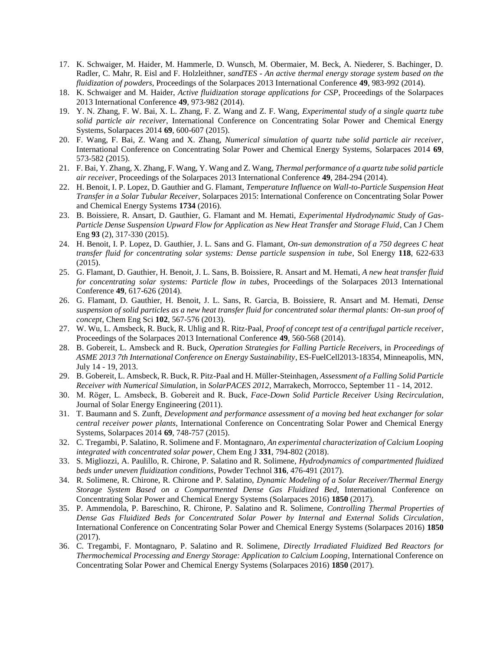- 17. K. Schwaiger, M. Haider, M. Hammerle, D. Wunsch, M. Obermaier, M. Beck, A. Niederer, S. Bachinger, D. Radler, C. Mahr, R. Eisl and F. Holzleithner, *sandTES - An active thermal energy storage system based on the fluidization of powders*, Proceedings of the Solarpaces 2013 International Conference **49**, 983-992 (2014).
- 18. K. Schwaiger and M. Haider, *Active fluidization storage applications for CSP*, Proceedings of the Solarpaces 2013 International Conference **49**, 973-982 (2014).
- <span id="page-8-0"></span>19. Y. N. Zhang, F. W. Bai, X. L. Zhang, F. Z. Wang and Z. F. Wang, *Experimental study of a single quartz tube solid particle air receiver*, International Conference on Concentrating Solar Power and Chemical Energy Systems, Solarpaces 2014 **69**, 600-607 (2015).
- 20. F. Wang, F. Bai, Z. Wang and X. Zhang, *Numerical simulation of quartz tube solid particle air receiver*, International Conference on Concentrating Solar Power and Chemical Energy Systems, Solarpaces 2014 **69**, 573-582 (2015).
- 21. F. Bai, Y. Zhang, X. Zhang, F. Wang, Y. Wang and Z. Wang, *Thermal performance of a quartz tube solid particle air receiver*, Proceedings of the Solarpaces 2013 International Conference **49**, 284-294 (2014).
- <span id="page-8-1"></span>22. H. Benoit, I. P. Lopez, D. Gauthier and G. Flamant, *Temperature Influence on Wall-to-Particle Suspension Heat Transfer in a Solar Tubular Receiver*, Solarpaces 2015: International Conference on Concentrating Solar Power and Chemical Energy Systems **1734** (2016).
- 23. B. Boissiere, R. Ansart, D. Gauthier, G. Flamant and M. Hemati, *Experimental Hydrodynamic Study of Gas-Particle Dense Suspension Upward Flow for Application as New Heat Transfer and Storage Fluid*, Can J Chem Eng **93** (2), 317-330 (2015).
- 24. H. Benoit, I. P. Lopez, D. Gauthier, J. L. Sans and G. Flamant, *On-sun demonstration of a 750 degrees C heat transfer fluid for concentrating solar systems: Dense particle suspension in tube*, Sol Energy **118**, 622-633 (2015).
- 25. G. Flamant, D. Gauthier, H. Benoit, J. L. Sans, B. Boissiere, R. Ansart and M. Hemati, *A new heat transfer fluid for concentrating solar systems: Particle flow in tubes*, Proceedings of the Solarpaces 2013 International Conference **49**, 617-626 (2014).
- 26. G. Flamant, D. Gauthier, H. Benoit, J. L. Sans, R. Garcia, B. Boissiere, R. Ansart and M. Hemati, *Dense suspension of solid particles as a new heat transfer fluid for concentrated solar thermal plants: On-sun proof of concept*, Chem Eng Sci **102**, 567-576 (2013).
- <span id="page-8-2"></span>27. W. Wu, L. Amsbeck, R. Buck, R. Uhlig and R. Ritz-Paal, *Proof of concept test of a centrifugal particle receiver*, Proceedings of the Solarpaces 2013 International Conference **49**, 560-568 (2014).
- 28. B. Gobereit, L. Amsbeck and R. Buck, *Operation Strategies for Falling Particle Receivers*, in *Proceedings of ASME 2013 7th International Conference on Energy Sustainability*, ES-FuelCell2013-18354, Minneapolis, MN, July 14 - 19, 2013.
- 29. B. Gobereit, L. Amsbeck, R. Buck, R. Pitz-Paal and H. Müller-Steinhagen, *Assessment of a Falling Solid Particle Receiver with Numerical Simulation*, in *SolarPACES 2012*, Marrakech, Morrocco, September 11 - 14, 2012.
- 30. M. Rӧger, L. Amsbeck, B. Gobereit and R. Buck, *Face-Down Solid Particle Receiver Using Recirculation*, Journal of Solar Energy Engineering (2011).
- 31. T. Baumann and S. Zunft, *Development and performance assessment of a moving bed heat exchanger for solar central receiver power plants*, International Conference on Concentrating Solar Power and Chemical Energy Systems, Solarpaces 2014 **69**, 748-757 (2015).
- <span id="page-8-3"></span>32. C. Tregambi, P. Salatino, R. Solimene and F. Montagnaro, *An experimental characterization of Calcium Looping integrated with concentrated solar power*, Chem Eng J **331**, 794-802 (2018).
- 33. S. Migliozzi, A. Paulillo, R. Chirone, P. Salatino and R. Solimene, *Hydrodynamics of compartmented fluidized beds under uneven fluidization conditions*, Powder Technol **316**, 476-491 (2017).
- 34. R. Solimene, R. Chirone, R. Chirone and P. Salatino, *Dynamic Modeling of a Solar Receiver/Thermal Energy Storage System Based on a Compartmented Dense Gas Fluidized Bed*, International Conference on Concentrating Solar Power and Chemical Energy Systems (Solarpaces 2016) **1850** (2017).
- 35. P. Ammendola, P. Bareschino, R. Chirone, P. Salatino and R. Solimene, *Controlling Thermal Properties of Dense Gas Fluidized Beds for Concentrated Solar Power by Internal and External Solids Circulation*, International Conference on Concentrating Solar Power and Chemical Energy Systems (Solarpaces 2016) **1850** (2017).
- 36. C. Tregambi, F. Montagnaro, P. Salatino and R. Solimene, *Directly Irradiated Fluidized Bed Reactors for Thermochemical Processing and Energy Storage: Application to Calcium Looping*, International Conference on Concentrating Solar Power and Chemical Energy Systems (Solarpaces 2016) **1850** (2017).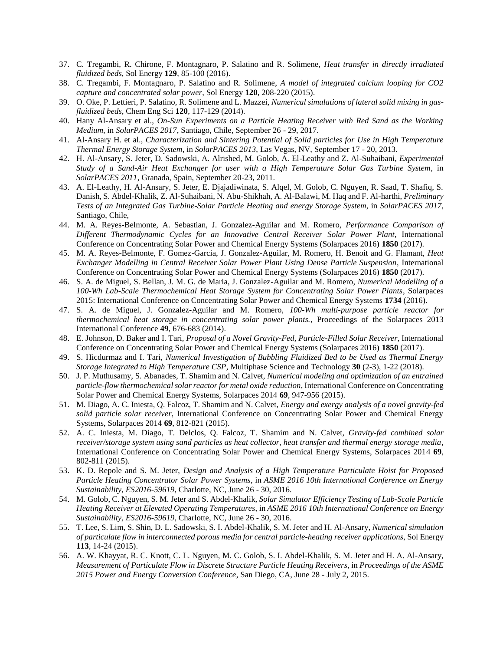- 37. C. Tregambi, R. Chirone, F. Montagnaro, P. Salatino and R. Solimene, *Heat transfer in directly irradiated fluidized beds*, Sol Energy **129**, 85-100 (2016).
- 38. C. Tregambi, F. Montagnaro, P. Salatino and R. Solimene, *A model of integrated calcium looping for CO2 capture and concentrated solar power*, Sol Energy **120**, 208-220 (2015).
- 39. O. Oke, P. Lettieri, P. Salatino, R. Solimene and L. Mazzei, *Numerical simulations of lateral solid mixing in gasfluidized beds*, Chem Eng Sci **120**, 117-129 (2014).
- <span id="page-9-0"></span>40. Hany Al-Ansary et al., *On-Sun Experiments on a Particle Heating Receiver with Red Sand as the Working Medium*, in *SolarPACES 2017*, Santiago, Chile, September 26 - 29, 2017.
- 41. Al-Ansary H. et al., *Characterization and Sintering Potential of Solid particles for Use in High Temperature Thermal Energy Storage System*, in *SolarPACES 2013*, Las Vegas, NV, September 17 - 20, 2013.
- 42. H. Al-Ansary, S. Jeter, D. Sadowski, A. Alrished, M. Golob, A. El-Leathy and Z. Al-Suhaibani, *Experimental Study of a Sand-Air Heat Exchanger for user with a High Temperature Solar Gas Turbine System*, in *SolarPACES 2011*, Granada, Spain, September 20-23, 2011.
- 43. A. El-Leathy, H. Al-Ansary, S. Jeter, E. Djajadiwinata, S. Alqel, M. Golob, C. Nguyen, R. Saad, T. Shafiq, S. Danish, S. Abdel-Khalik, Z. Al-Suhaibani, N. Abu-Shikhah, A. Al-Balawi, M. Haq and F. Al-harthi, *Preliminary Tests of an Integrated Gas Turbine-Solar Particle Heating and energy Storage System*, in *SolarPACES 2017*, Santiago, Chile,
- <span id="page-9-1"></span>44. M. A. Reyes-Belmonte, A. Sebastian, J. Gonzalez-Aguilar and M. Romero, *Performance Comparison of Different Thermodynamic Cycles for an Innovative Central Receiver Solar Power Plant*, International Conference on Concentrating Solar Power and Chemical Energy Systems (Solarpaces 2016) **1850** (2017).
- 45. M. A. Reyes-Belmonte, F. Gomez-Garcia, J. Gonzalez-Aguilar, M. Romero, H. Benoit and G. Flamant, *Heat Exchanger Modelling in Central Receiver Solar Power Plant Using Dense Particle Suspension*, International Conference on Concentrating Solar Power and Chemical Energy Systems (Solarpaces 2016) **1850** (2017).
- 46. S. A. de Miguel, S. Bellan, J. M. G. de Maria, J. Gonzalez-Aguilar and M. Romero, *Numerical Modelling of a 100-Wh Lab-Scale Thermochemical Heat Storage System for Concentrating Solar Power Plants*, Solarpaces 2015: International Conference on Concentrating Solar Power and Chemical Energy Systems **1734** (2016).
- 47. S. A. de Miguel, J. Gonzalez-Aguilar and M. Romero, *100-Wh multi-purpose particle reactor for thermochemical heat storage in concentrating solar power plants.*, Proceedings of the Solarpaces 2013 International Conference **49**, 676-683 (2014).
- <span id="page-9-2"></span>48. E. Johnson, D. Baker and I. Tari, *Proposal of a Novel Gravity-Fed, Particle-Filled Solar Receiver*, International Conference on Concentrating Solar Power and Chemical Energy Systems (Solarpaces 2016) **1850** (2017).
- <span id="page-9-3"></span>49. S. Hicdurmaz and I. Tari, *Numerical Investigation of Bubbling Fluidized Bed to be Used as Thermal Energy Storage Integrated to High Temperature CSP*, Multiphase Science and Technology **30** (2-3), 1-22 (2018).
- <span id="page-9-4"></span>50. J. P. Muthusamy, S. Abanades, T. Shamim and N. Calvet, *Numerical modeling and optimization of an entrained particle-flow thermochemical solar reactor for metal oxide reduction*, International Conference on Concentrating Solar Power and Chemical Energy Systems, Solarpaces 2014 **69**, 947-956 (2015).
- 51. M. Diago, A. C. Iniesta, Q. Falcoz, T. Shamim and N. Calvet, *Energy and exergy analysis of a novel gravity-fed solid particle solar receiver*, International Conference on Concentrating Solar Power and Chemical Energy Systems, Solarpaces 2014 **69**, 812-821 (2015).
- 52. A. C. Iniesta, M. Diago, T. Delclos, Q. Falcoz, T. Shamim and N. Calvet, *Gravity-fed combined solar receiver/storage system using sand particles as heat collector, heat transfer and thermal energy storage media*, International Conference on Concentrating Solar Power and Chemical Energy Systems, Solarpaces 2014 **69**, 802-811 (2015).
- <span id="page-9-5"></span>53. K. D. Repole and S. M. Jeter, *Design and Analysis of a High Temperature Particulate Hoist for Proposed Particle Heating Concentrator Solar Power Systems*, in *ASME 2016 10th International Conference on Energy Sustainability, ES2016-59619*, Charlotte, NC, June 26 - 30, 2016.
- 54. M. Golob, C. Nguyen, S. M. Jeter and S. Abdel-Khalik, *Solar Simulator Efficiency Testing of Lab-Scale Particle Heating Receiver at Elevated Operating Temperatures*, in *ASME 2016 10th International Conference on Energy Sustainability, ES2016-59619*, Charlotte, NC, June 26 - 30, 2016.
- 55. T. Lee, S. Lim, S. Shin, D. L. Sadowski, S. I. Abdel-Khalik, S. M. Jeter and H. Al-Ansary, *Numerical simulation of particulate flow in interconnected porous media for central particle-heating receiver applications*, Sol Energy **113**, 14-24 (2015).
- 56. A. W. Khayyat, R. C. Knott, C. L. Nguyen, M. C. Golob, S. I. Abdel-Khalik, S. M. Jeter and H. A. Al-Ansary, *Measurement of Particulate Flow in Discrete Structure Particle Heating Receivers*, in *Proceedings of the ASME 2015 Power and Energy Conversion Conference*, San Diego, CA, June 28 - July 2, 2015.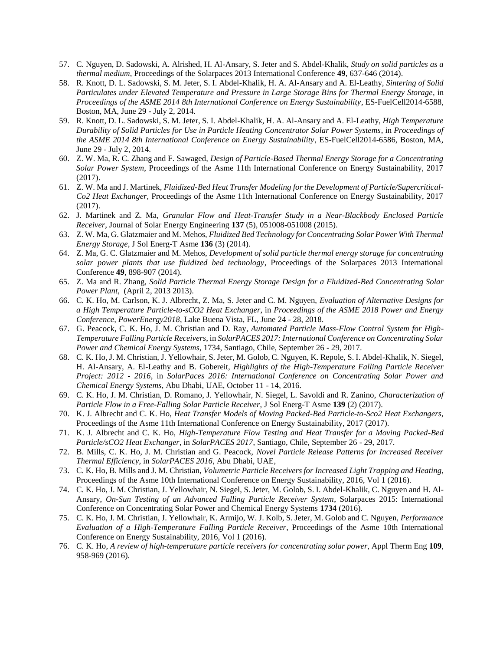- 57. C. Nguyen, D. Sadowski, A. Alrished, H. Al-Ansary, S. Jeter and S. Abdel-Khalik, *Study on solid particles as a thermal medium*, Proceedings of the Solarpaces 2013 International Conference **49**, 637-646 (2014).
- 58. R. Knott, D. L. Sadowski, S. M. Jeter, S. I. Abdel-Khalik, H. A. Al-Ansary and A. El-Leathy, *Sintering of Solid Particulates under Elevated Temperature and Pressure in Large Storage Bins for Thermal Energy Storage*, in *Proceedings of the ASME 2014 8th International Conference on Energy Sustainability*, ES-FuelCell2014-6588, Boston, MA, June 29 - July 2, 2014.
- 59. R. Knott, D. L. Sadowski, S. M. Jeter, S. I. Abdel-Khalik, H. A. Al-Ansary and A. El-Leathy, *High Temperature Durability of Solid Particles for Use in Particle Heating Concentrator Solar Power Systems*, in *Proceedings of the ASME 2014 8th International Conference on Energy Sustainability*, ES-FuelCell2014-6586, Boston, MA, June 29 - July 2, 2014.
- <span id="page-10-0"></span>60. Z. W. Ma, R. C. Zhang and F. Sawaged, *Design of Particle-Based Thermal Energy Storage for a Concentrating Solar Power System*, Proceedings of the Asme 11th International Conference on Energy Sustainability, 2017 (2017).
- 61. Z. W. Ma and J. Martinek, *Fluidized-Bed Heat Transfer Modeling for the Development of Particle/Supercritical-Co2 Heat Exchanger*, Proceedings of the Asme 11th International Conference on Energy Sustainability, 2017 (2017).
- 62. J. Martinek and Z. Ma, *Granular Flow and Heat-Transfer Study in a Near-Blackbody Enclosed Particle Receiver*, Journal of Solar Energy Engineering **137** (5), 051008-051008 (2015).
- 63. Z. W. Ma, G. Glatzmaier and M. Mehos, *Fluidized Bed Technology for Concentrating Solar Power With Thermal Energy Storage*, J Sol Energ-T Asme **136** (3) (2014).
- 64. Z. Ma, G. C. Glatzmaier and M. Mehos, *Development of solid particle thermal energy storage for concentrating solar power plants that use fluidized bed technology*, Proceedings of the Solarpaces 2013 International Conference **49**, 898-907 (2014).
- 65. Z. Ma and R. Zhang, *Solid Particle Thermal Energy Storage Design for a Fluidized-Bed Concentrating Solar Power Plant*, (April 2, 2013 2013).
- <span id="page-10-1"></span>66. C. K. Ho, M. Carlson, K. J. Albrecht, Z. Ma, S. Jeter and C. M. Nguyen, *Evaluation of Alternative Designs for a High Temperature Particle-to-sCO2 Heat Exchanger*, in *Proceedings of the ASME 2018 Power and Energy Conference, PowerEnergy2018*, Lake Buena Vista, FL, June 24 - 28, 2018.
- 67. G. Peacock, C. K. Ho, J. M. Christian and D. Ray, *Automated Particle Mass-Flow Control System for High-Temperature Falling Particle Receivers*, in *SolarPACES 2017: International Conference on Concentrating Solar Power and Chemical Energy Systems*, 1734, Santiago, Chile, September 26 - 29, 2017.
- 68. C. K. Ho, J. M. Christian, J. Yellowhair, S. Jeter, M. Golob, C. Nguyen, K. Repole, S. I. Abdel-Khalik, N. Siegel, H. Al-Ansary, A. El-Leathy and B. Gobereit, *Highlights of the High-Temperature Falling Particle Receiver Project: 2012 - 2016*, in *SolarPaces 2016: International Conference on Concentrating Solar Power and Chemical Energy Systems*, Abu Dhabi, UAE, October 11 - 14, 2016.
- 69. C. K. Ho, J. M. Christian, D. Romano, J. Yellowhair, N. Siegel, L. Savoldi and R. Zanino, *Characterization of Particle Flow in a Free-Falling Solar Particle Receiver*, J Sol Energ-T Asme **139** (2) (2017).
- 70. K. J. Albrecht and C. K. Ho, *Heat Transfer Models of Moving Packed-Bed Particle-to-Sco2 Heat Exchangers*, Proceedings of the Asme 11th International Conference on Energy Sustainability, 2017 (2017).
- 71. K. J. Albrecht and C. K. Ho, *High-Temperature Flow Testing and Heat Transfer for a Moving Packed-Bed Particle/sCO2 Heat Exchanger*, in *SolarPACES 2017*, Santiago, Chile, September 26 - 29, 2017.
- 72. B. Mills, C. K. Ho, J. M. Christian and G. Peacock, *Novel Particle Release Patterns for Increased Receiver Thermal Efficiency*, in *SolarPACES 2016*, Abu Dhabi, UAE,
- 73. C. K. Ho, B. Mills and J. M. Christian, *Volumetric Particle Receivers for Increased Light Trapping and Heating*, Proceedings of the Asme 10th International Conference on Energy Sustainability, 2016, Vol 1 (2016).
- 74. C. K. Ho, J. M. Christian, J. Yellowhair, N. Siegel, S. Jeter, M. Golob, S. I. Abdel-Khalik, C. Nguyen and H. Al-Ansary, *On-Sun Testing of an Advanced Falling Particle Receiver System*, Solarpaces 2015: International Conference on Concentrating Solar Power and Chemical Energy Systems **1734** (2016).
- 75. C. K. Ho, J. M. Christian, J. Yellowhair, K. Armijo, W. J. Kolb, S. Jeter, M. Golob and C. Nguyen, *Performance Evaluation of a High-Temperature Falling Particle Receiver*, Proceedings of the Asme 10th International Conference on Energy Sustainability, 2016, Vol 1 (2016).
- 76. C. K. Ho, *A review of high-temperature particle receivers for concentrating solar power*, Appl Therm Eng **109**, 958-969 (2016).